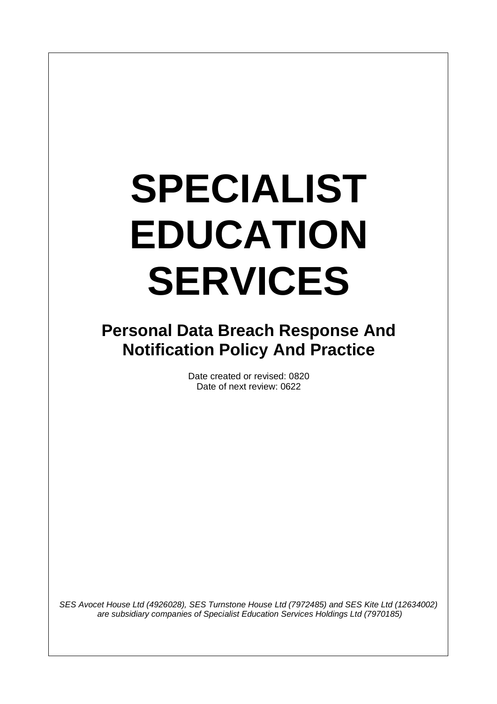# **SPECIALIST EDUCATION SERVICES**

# **Personal Data Breach Response And Notification Policy And Practice**

Date created or revised: 0820 Date of next review: 0622

*SES Avocet House Ltd (4926028), SES Turnstone House Ltd (7972485) and SES Kite Ltd (12634002) are subsidiary companies of Specialist Education Services Holdings Ltd (7970185)*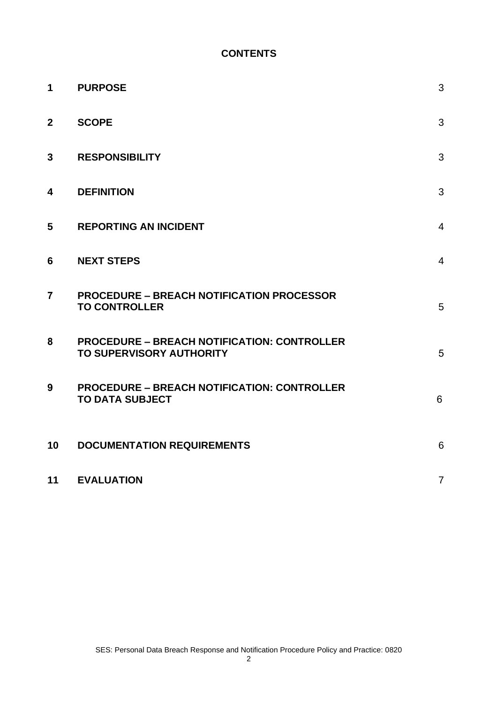#### **CONTENTS**

| $\mathbf 1$             | <b>PURPOSE</b>                                                                        | 3              |
|-------------------------|---------------------------------------------------------------------------------------|----------------|
| $\overline{2}$          | <b>SCOPE</b>                                                                          | 3              |
| $\mathbf{3}$            | <b>RESPONSIBILITY</b>                                                                 | 3              |
| $\overline{\mathbf{4}}$ | <b>DEFINITION</b>                                                                     | 3              |
| 5                       | <b>REPORTING AN INCIDENT</b>                                                          | $\overline{4}$ |
| 6                       | <b>NEXT STEPS</b>                                                                     | $\overline{4}$ |
| $\overline{7}$          | <b>PROCEDURE - BREACH NOTIFICATION PROCESSOR</b><br><b>TO CONTROLLER</b>              | 5              |
| 8                       | <b>PROCEDURE - BREACH NOTIFICATION: CONTROLLER</b><br><b>TO SUPERVISORY AUTHORITY</b> | 5              |
| 9                       | <b>PROCEDURE - BREACH NOTIFICATION: CONTROLLER</b><br><b>TO DATA SUBJECT</b>          | 6              |
| 10                      | <b>DOCUMENTATION REQUIREMENTS</b>                                                     | 6              |
| 11                      | <b>EVALUATION</b>                                                                     | $\overline{7}$ |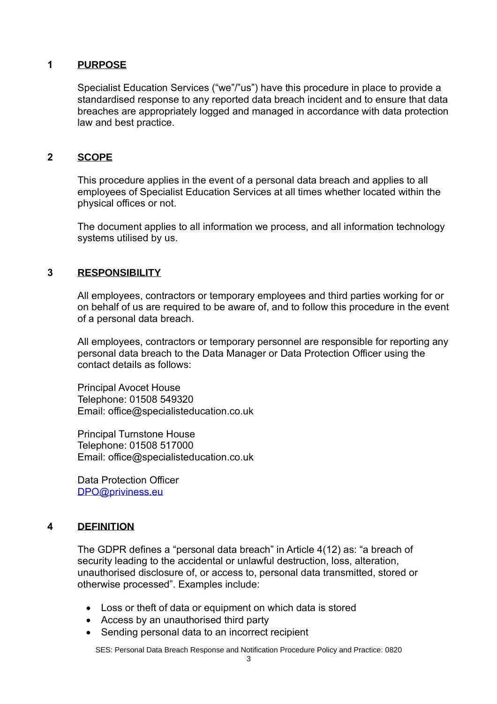#### **1 PURPOSE**

Specialist Education Services ("we"/"us") have this procedure in place to provide a standardised response to any reported data breach incident and to ensure that data breaches are appropriately logged and managed in accordance with data protection law and best practice.

#### **2 SCOPE**

This procedure applies in the event of a personal data breach and applies to all employees of Specialist Education Services at all times whether located within the physical offices or not.

The document applies to all information we process, and all information technology systems utilised by us.

#### **3 RESPONSIBILITY**

All employees, contractors or temporary employees and third parties working for or on behalf of us are required to be aware of, and to follow this procedure in the event of a personal data breach.

All employees, contractors or temporary personnel are responsible for reporting any personal data breach to the Data Manager or Data Protection Officer using the contact details as follows:

Principal Avocet House Telephone: 01508 549320 Email: office@specialisteducation.co.uk

Principal Turnstone House Telephone: 01508 517000 Email: office@specialisteducation.co.uk

Data Protection Officer [DPO@priviness.eu](mailto:DPO@priviness.eu)

#### **4 DEFINITION**

The GDPR defines a "personal data breach" in Article 4(12) as: "a breach of security leading to the accidental or unlawful destruction, loss, alteration, unauthorised disclosure of, or access to, personal data transmitted, stored or otherwise processed". Examples include:

- Loss or theft of data or equipment on which data is stored
- Access by an unauthorised third party
- Sending personal data to an incorrect recipient

SES: Personal Data Breach Response and Notification Procedure Policy and Practice: 0820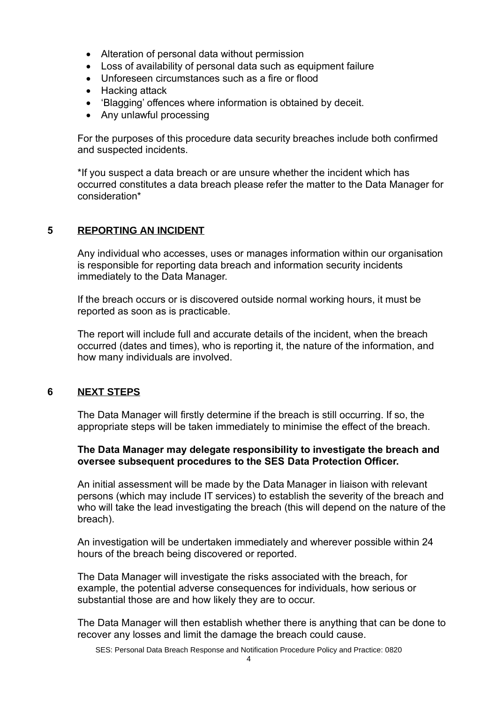- Alteration of personal data without permission
- Loss of availability of personal data such as equipment failure
- Unforeseen circumstances such as a fire or flood
- Hacking attack
- 'Blagging' offences where information is obtained by deceit.
- Any unlawful processing

For the purposes of this procedure data security breaches include both confirmed and suspected incidents.

\*If you suspect a data breach or are unsure whether the incident which has occurred constitutes a data breach please refer the matter to the Data Manager for consideration\*

#### **5 REPORTING AN INCIDENT**

Any individual who accesses, uses or manages information within our organisation is responsible for reporting data breach and information security incidents immediately to the Data Manager.

If the breach occurs or is discovered outside normal working hours, it must be reported as soon as is practicable.

The report will include full and accurate details of the incident, when the breach occurred (dates and times), who is reporting it, the nature of the information, and how many individuals are involved.

#### **6 NEXT STEPS**

The Data Manager will firstly determine if the breach is still occurring. If so, the appropriate steps will be taken immediately to minimise the effect of the breach.

#### **The Data Manager may delegate responsibility to investigate the breach and oversee subsequent procedures to the SES Data Protection Officer.**

An initial assessment will be made by the Data Manager in liaison with relevant persons (which may include IT services) to establish the severity of the breach and who will take the lead investigating the breach (this will depend on the nature of the breach).

An investigation will be undertaken immediately and wherever possible within 24 hours of the breach being discovered or reported.

The Data Manager will investigate the risks associated with the breach, for example, the potential adverse consequences for individuals, how serious or substantial those are and how likely they are to occur.

The Data Manager will then establish whether there is anything that can be done to recover any losses and limit the damage the breach could cause.

SES: Personal Data Breach Response and Notification Procedure Policy and Practice: 0820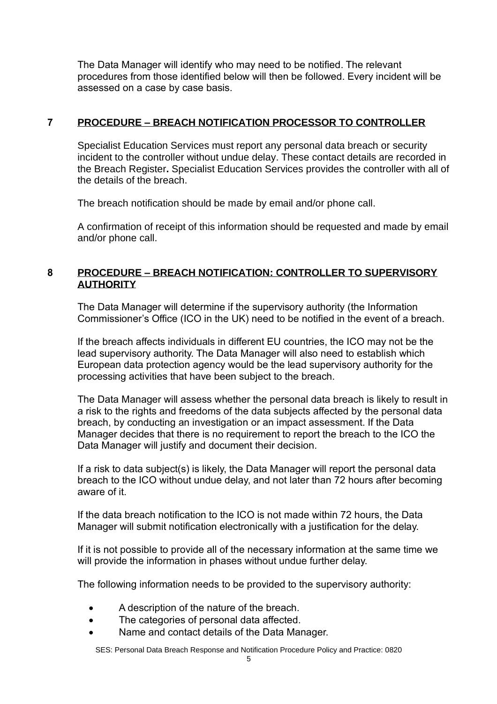The Data Manager will identify who may need to be notified. The relevant procedures from those identified below will then be followed. Every incident will be assessed on a case by case basis.

# **7 PROCEDURE – BREACH NOTIFICATION PROCESSOR TO CONTROLLER**

Specialist Education Services must report any personal data breach or security incident to the controller without undue delay. These contact details are recorded in the Breach Register**.** Specialist Education Services provides the controller with all of the details of the breach.

The breach notification should be made by email and/or phone call.

A confirmation of receipt of this information should be requested and made by email and/or phone call.

#### **8 PROCEDURE – BREACH NOTIFICATION: CONTROLLER TO SUPERVISORY AUTHORITY**

The Data Manager will determine if the supervisory authority (the Information Commissioner's Office (ICO in the UK) need to be notified in the event of a breach.

If the breach affects individuals in different EU countries, the ICO may not be the lead supervisory authority. The Data Manager will also need to establish which European data protection agency would be the lead supervisory authority for the processing activities that have been subject to the breach.

The Data Manager will assess whether the personal data breach is likely to result in a risk to the rights and freedoms of the data subjects affected by the personal data breach, by conducting an investigation or an impact assessment. If the Data Manager decides that there is no requirement to report the breach to the ICO the Data Manager will justify and document their decision.

If a risk to data subject(s) is likely, the Data Manager will report the personal data breach to the ICO without undue delay, and not later than 72 hours after becoming aware of it.

If the data breach notification to the ICO is not made within 72 hours, the Data Manager will submit notification electronically with a justification for the delay.

If it is not possible to provide all of the necessary information at the same time we will provide the information in phases without undue further delay.

The following information needs to be provided to the supervisory authority:

- A description of the nature of the breach.
- The categories of personal data affected.
- Name and contact details of the Data Manager.

SES: Personal Data Breach Response and Notification Procedure Policy and Practice: 0820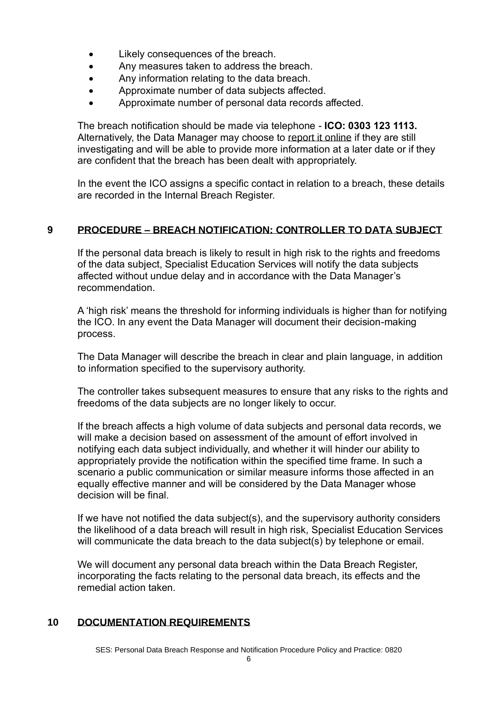- Likely consequences of the breach.
- Any measures taken to address the breach.
- Any information relating to the data breach.
- Approximate number of data subjects affected.
- Approximate number of personal data records affected.

The breach notification should be made via telephone - **ICO: 0303 123 1113.**  Alternatively, the Data Manager may choose to [report it online](https://ico.org.uk/media/for-organisations/documents/2258298/personal-data-breach-report-form-web-dpa-2018.doc) if they are still investigating and will be able to provide more information at a later date or if they are confident that the breach has been dealt with appropriately.

In the event the ICO assigns a specific contact in relation to a breach, these details are recorded in the Internal Breach Register.

## **9 PROCEDURE – BREACH NOTIFICATION: CONTROLLER TO DATA SUBJECT**

If the personal data breach is likely to result in high risk to the rights and freedoms of the data subject, Specialist Education Services will notify the data subjects affected without undue delay and in accordance with the Data Manager's recommendation.

A 'high risk' means the threshold for informing individuals is higher than for notifying the ICO. In any event the Data Manager will document their decision-making process.

The Data Manager will describe the breach in clear and plain language, in addition to information specified to the supervisory authority.

The controller takes subsequent measures to ensure that any risks to the rights and freedoms of the data subjects are no longer likely to occur.

If the breach affects a high volume of data subjects and personal data records, we will make a decision based on assessment of the amount of effort involved in notifying each data subject individually, and whether it will hinder our ability to appropriately provide the notification within the specified time frame. In such a scenario a public communication or similar measure informs those affected in an equally effective manner and will be considered by the Data Manager whose decision will be final.

If we have not notified the data subject(s), and the supervisory authority considers the likelihood of a data breach will result in high risk, Specialist Education Services will communicate the data breach to the data subject(s) by telephone or email.

We will document any personal data breach within the Data Breach Register, incorporating the facts relating to the personal data breach, its effects and the remedial action taken.

## **10 DOCUMENTATION REQUIREMENTS**